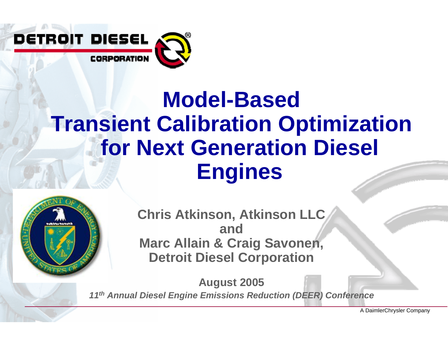

#### DETROIT DIESEL CORPORATION

# **Model-Based Transient Calibration Optimization for Next Generation Diesel Engines**



**Chris Atkinson, Atkinson LLC andMarc Allain & Craig Savonen, Detroit Diesel Corporation**

**August 2005** *11th Annual Diesel Engine Emissions Reduction (DEER) Conference*

A DaimlerChrysler Company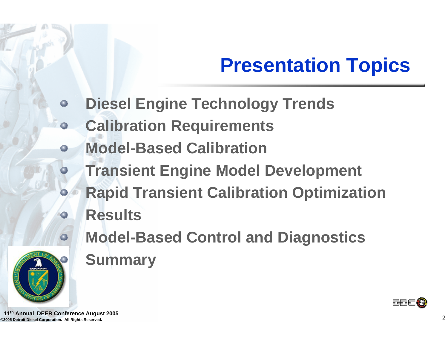# **Presentation Topics**

- **Diesel Engine Technology Trends**   $\bullet$
- **Calibration Requirements**  $\bullet$
- **Model-Based Calibration**   $\bullet$ 
	- **Transient Engine Model Development**
	- **Rapid Transient Calibration Optimization**
	- **Results**
		- **Model-Based Control and Diagnostics**
		- **Summary**



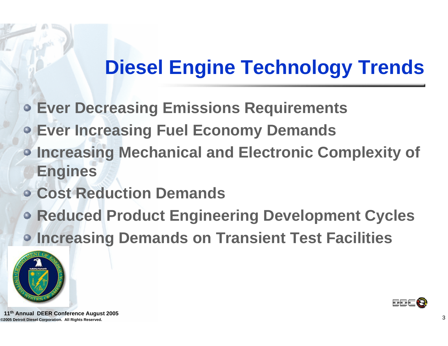## **Diesel Engine Technology Trends**

- **Ever Decreasing Emissions Requirements**
- **Ever Increasing Fuel Economy Demands**
- **Increasing Mechanical and Electronic Complexity of Engines**
- **Cost Reduction Demands**
- **Reduced Product Engineering Development Cycles Increasing Demands on Transient Test Facilities**





**©2005 Detroit Diesel Corporation. All Rights Reserved.** <sup>3</sup> **11th Annual DEER Conference August 2005**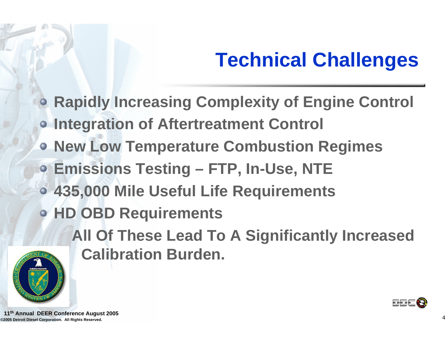# **Technical Challenges**

- **Rapidly Increasing Complexity of Engine Control**
- **Integration of Aftertreatment Control**
- **New Low Temperature Combustion Regimes**
- **Emissions Testing – FTP, In-Use, NTE**
- **435,000 Mile Useful Life Requirements**
- **HD OBD Requirements**
	- **All Of These Lead To A Significantly Increased Calibration Burden.**





**©2005 Detroit Diesel Corporation. All Rights Reserved.** <sup>4</sup> **11th Annual DEER Conference August 2005**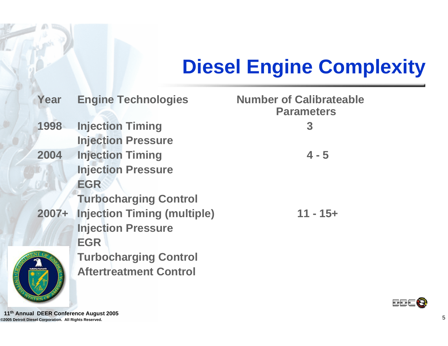# **Diesel Engine Complexity**

| Year     | <b>Engine Technologies</b>         | <b>Number of Calibrateable</b><br><b>Parameters</b> |
|----------|------------------------------------|-----------------------------------------------------|
| 1998     | <b>Injection Timing</b>            | 3                                                   |
|          | <b>Injection Pressure</b>          |                                                     |
| 2004     | <b>Injection Timing</b>            | $4 - 5$                                             |
|          | <b>Injection Pressure</b>          |                                                     |
|          | <b>EGR</b>                         |                                                     |
|          | <b>Turbocharging Control</b>       |                                                     |
| $2007 +$ | <b>Injection Timing (multiple)</b> | $11 - 15 +$                                         |
|          | <b>Injection Pressure</b>          |                                                     |
|          | <b>EGR</b>                         |                                                     |
|          | <b>Turbocharging Control</b>       |                                                     |
|          | <b>Aftertreatment Control</b>      |                                                     |



**BBE &** 

**©2005 Detroit Diesel Corporation. All Rights Reserved.** <sup>5</sup> **11th Annual DEER Conference August 2005**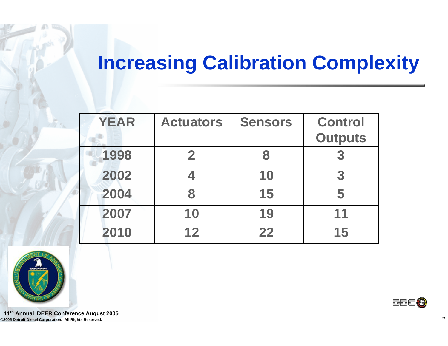## **Increasing Calibration Complexity**

| <b>YEAR</b> | <b>Actuators</b> | <b>Sensors</b> | <b>Control</b> |
|-------------|------------------|----------------|----------------|
|             |                  |                | <b>Outputs</b> |
| 1998        | $\mathbf{2}$     | 8              | 3              |
| 2002        |                  | 10             | 3              |
| 2004        | 8                | 15             | 5              |
| 2007        | 10               | 19             | 11             |
| 2010        | 12               | 22             | 15             |



**©2005 Detroit Diesel Corporation. All Rights Reserved.** <sup>6</sup> **11th Annual DEER Conference August 2005**

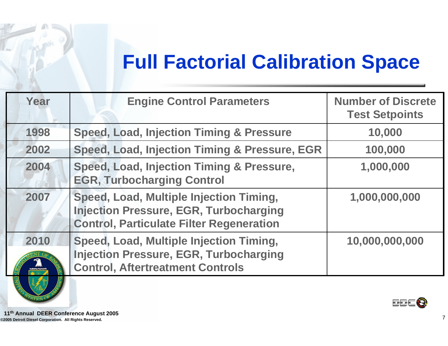## **Full Factorial Calibration Space**

| Year | <b>Engine Control Parameters</b>                                                                                                            | <b>Number of Discrete</b><br><b>Test Setpoints</b> |
|------|---------------------------------------------------------------------------------------------------------------------------------------------|----------------------------------------------------|
| 1998 | <b>Speed, Load, Injection Timing &amp; Pressure</b>                                                                                         | 10,000                                             |
| 2002 | Speed, Load, Injection Timing & Pressure, EGR                                                                                               | 100,000                                            |
| 2004 | Speed, Load, Injection Timing & Pressure,<br><b>EGR, Turbocharging Control</b>                                                              | 1,000,000                                          |
| 2007 | Speed, Load, Multiple Injection Timing,<br><b>Injection Pressure, EGR, Turbocharging</b><br><b>Control, Particulate Filter Regeneration</b> | 1,000,000,000                                      |
| 2010 | Speed, Load, Multiple Injection Timing,<br><b>Injection Pressure, EGR, Turbocharging</b><br><b>Control, Aftertreatment Controls</b>         | 10,000,000,000                                     |
|      |                                                                                                                                             |                                                    |

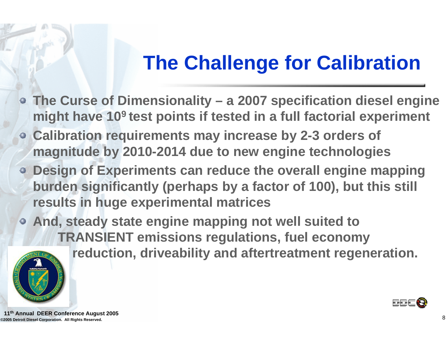## **The Challenge for Calibration**

- **The Curse of Dimensionality – a 2007 specification diesel engine might have 109 test points if tested in a full factorial experiment**
- **Calibration requirements may increase by 2-3 orders of magnitude by 2010-2014 due to new engine technologies**
- **Design of Experiments can reduce the overall engine mapping burden significantly (perhaps by a factor of 100), but this still results in huge experimental matrices**

**And, steady state engine mapping not well suited to TRANSIENT emissions regulations, fuel economy** 



**reduction, driveability and aftertreatment regeneration.**



**©2005 Detroit Diesel Corporation. All Rights Reserved.** <sup>8</sup> **11th Annual DEER Conference August 2005**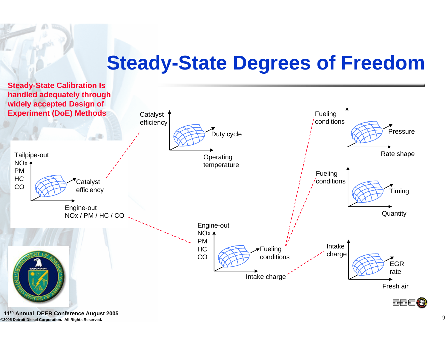## **Steady-State Degrees of Freedom**

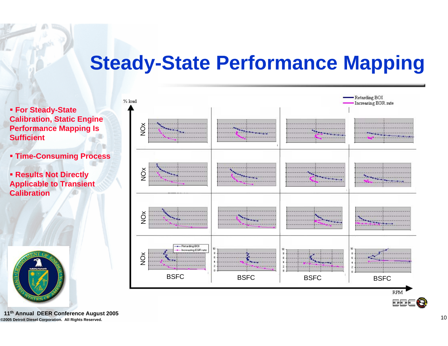## **Steady-State Performance Mapping**

 **For Steady-State Calibration, Static Engine Performance Mapping Is Sufficient**

**Time-Consuming Process**

 **Results Not Directly Applicable to Transient Calibration**



**©2005 Detroit Diesel Corporation. All Rights Reserved.** <sup>10</sup> **11th Annual DEER Conference August 2005**

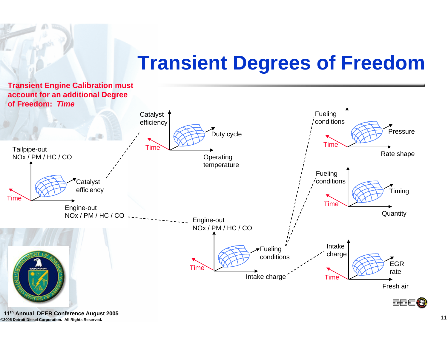## **Transient Degrees of Freedom**



**©2005 Detroit Diesel Corporation. All Rights Reserved.** <sup>11</sup> **11th Annual DEER Conference August 2005**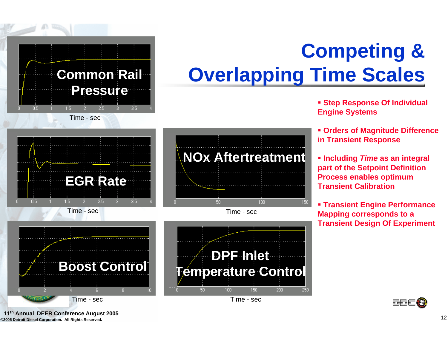

#### Time - sec

Closed-loop response

2.5

 $3.5<sub>1</sub>$ 

**EGR Rate**





**DPF Inlet**

**Temperature Control**

100

50



Time - sec

 $1.5<sub>1</sub>$ 

**©2005 Detroit Diesel Corporation. All Rights Reserved.** <sup>12</sup> **11th Annual DEER Conference August 2005**

0.5

# **Competing & Overlapping Time Scales**

- **Step Response Of Individual Engine Systems**
- **Orders of Magnitude Difference in Transient Response**
- **Including** *Time* **as an integral part of the Setpoint Definition Process enables optimum Transient Calibration**
- **Transient Engine Performance Mapping corresponds to a Transient Design Of Experiment**



150

 $200$ 

250

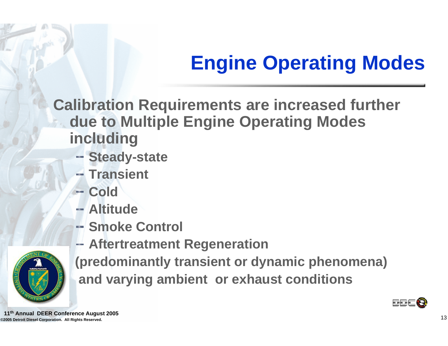# **Engine Operating Modes**

**Calibration Requirements are increased further due to Multiple Engine Operating Modes including**

- **Steady-state**
- **Transient**
- **Cold**
- **Altitude**
- **Smoke Control**



**Aftertreatment Regeneration**

**(predominantly transient or dynamic phenomena) and varying ambient or exhaust conditions**



**©2005 Detroit Diesel Corporation. All Rights Reserved.** <sup>13</sup> **11th Annual DEER Conference August 2005**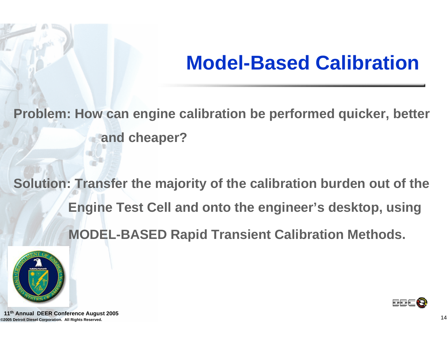## **Model-Based Calibration**

**Problem: How can engine calibration be performed quicker, better and cheaper?** 

**Solution: Transfer the majority of the calibration burden out of the Engine Test Cell and onto the engineer's desktop, using MODEL-BASED Rapid Transient Calibration Methods.**



o ok

**©2005 Detroit Diesel Corporation. All Rights Reserved.** <sup>14</sup> **11th Annual DEER Conference August 2005**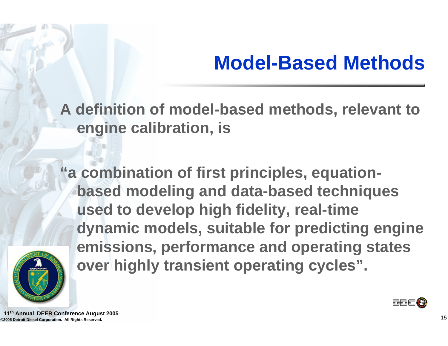## **Model-Based Methods**

**A definition of model-based methods, relevant to engine calibration, is**

**"a combination of first principles, equationbased modeling and data-based techniques used to develop high fidelity, real-time dynamic models, suitable for predicting engine emissions, performance and operating states over highly transient operating cycles".** 





**©2005 Detroit Diesel Corporation. All Rights Reserved.** <sup>15</sup> **11th Annual DEER Conference August 2005**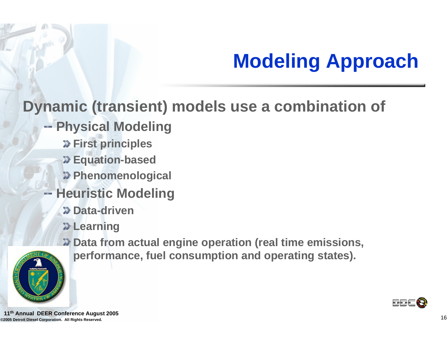# **Modeling Approach**

### **Dynamic (transient) models use a combination of**

- **Physical Modeling**
	- *D* First principles
	- **Equation-based**
	- **Phenomenological**
- **Heuristic Modeling** 
	- **2Data-driven**
	- **2Learning**
	- **Data from actual engine operation (real time emissions,**







**©2005 Detroit Diesel Corporation. All Rights Reserved.** <sup>16</sup> **11th Annual DEER Conference August 2005**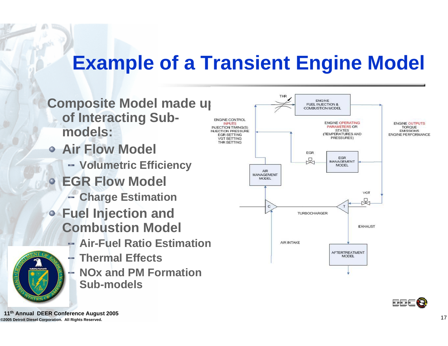## **Example of a Transient Engine Model**

- **Composite Model made up of Interacting Submodels:**
- **Air Flow Model**
	- **Volumetric Efficiency**
- **EGR Flow Model**
	- **Charge Estimation**
- **Fuel Injection and Combustion Model**
	- **Air-Fuel Ratio Estimation**
		- **Thermal Effects**
	- **NOx and PM Formation Sub-models**





**©2005 Detroit Diesel Corporation. All Rights Reserved.** <sup>17</sup> **11th Annual DEER Conference August 2005**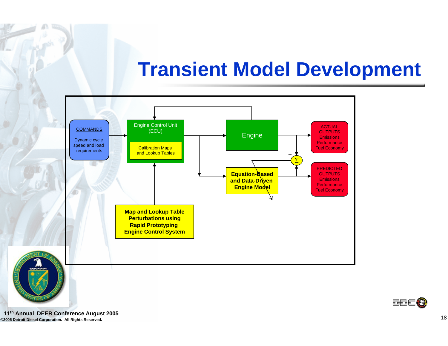## **Transient Model Development**



**©2005 Detroit Diesel Corporation. All Rights Reserved.** <sup>18</sup> **11th Annual DEER Conference August 2005**

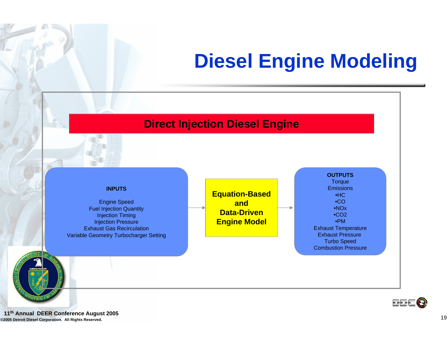## **Diesel Engine Modeling**

#### **Direct Injection Diesel Engine**



Engine Speed Fuel Injection Quantity Injection Timing Injection Pressure Exhaust Gas RecirculationVariable Geometry Turbocharger Setting







**©2005 Detroit Diesel Corporation. All Rights Reserved.** <sup>19</sup> **11th Annual DEER Conference August 2005**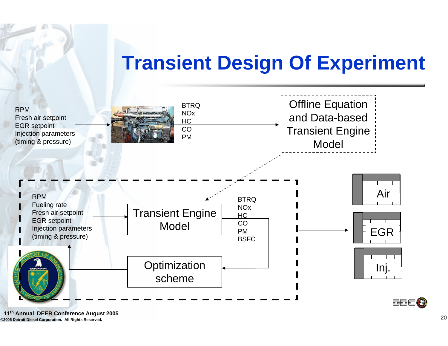## **Transient Design Of Experiment**



**©2005 Detroit Diesel Corporation. All Rights Reserved.** <sup>20</sup> **11th Annual DEER Conference August 2005**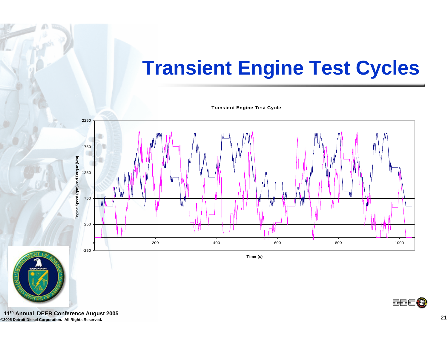## **Transient Engine Test Cycles**

**Transient Engine Test Cycle**



**©2005 Detroit Diesel Corporation. All Rights Reserved.** <sup>21</sup> **11th Annual DEER Conference August 2005**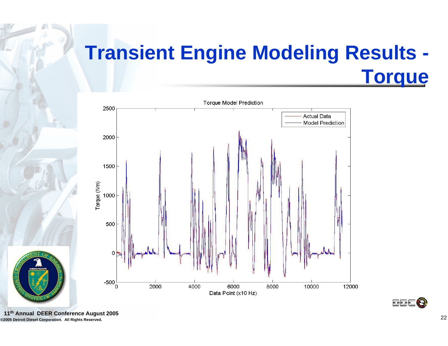## **Transient Engine Modeling Results - Torque**





**©2005 Detroit Diesel Corporation. All Rights Reserved.** <sup>22</sup> **11th Annual DEER Conference August 2005**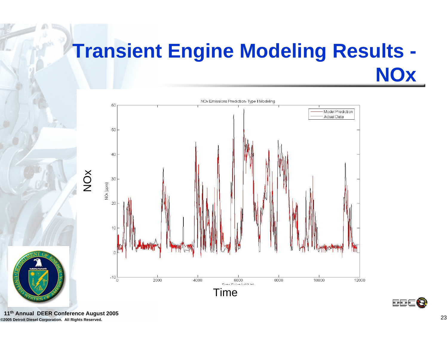## **Transient Engine Modeling Results - NOx**



**BBE &** 



**©2005 Detroit Diesel Corporation. All Rights Reserved.** <sup>23</sup> **11th Annual DEER Conference August 2005**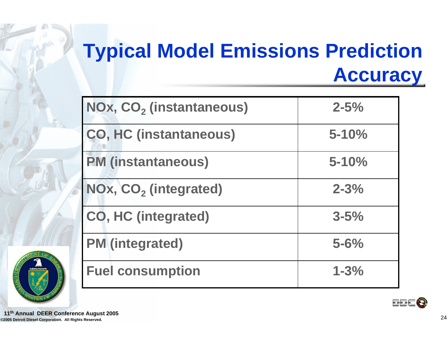## **Typical Model Emissions Prediction Accuracy**

| NOx, CO <sub>2</sub> (instantaneous) | $2 - 5%$  |
|--------------------------------------|-----------|
| <b>CO, HC (instantaneous)</b>        | $5 - 10%$ |
| <b>PM (instantaneous)</b>            | $5 - 10%$ |
| NOx, CO <sub>2</sub> (integrated)    | $2 - 3%$  |
| <b>CO, HC (integrated)</b>           | $3 - 5%$  |
| <b>PM</b> (integrated)               | $5 - 6%$  |
| <b>Fuel consumption</b>              | $1 - 3%$  |



**BBC B** 

**©2005 Detroit Diesel Corporation. All Rights Reserved.** <sup>24</sup> **11th Annual DEER Conference August 2005**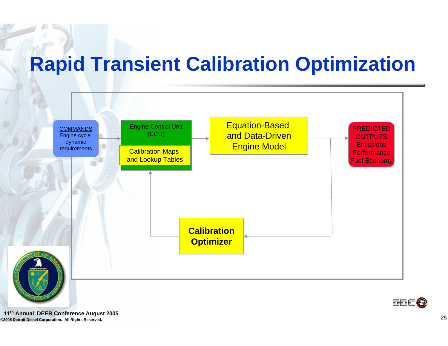## **Rapid Transient Calibration Optimization**



**©2005 Detroit Diesel Corporation. All Rights Reserved.** <sup>25</sup> **11th Annual DEER Conference August 2005**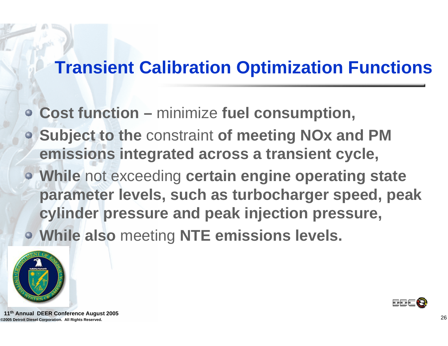## **Transient Calibration Optimization Functions**

- **Cost function –** minimize **fuel consumption,**
- **Subject to the** constraint **of meeting NOx and PM emissions integrated across a transient cycle,**
- **While** not exceeding **certain engine operating state parameter levels, such as turbocharger speed, peak cylinder pressure and peak injection pressure, While also** meeting **NTE emissions levels.**





**©2005 Detroit Diesel Corporation. All Rights Reserved.** <sup>26</sup> **11th Annual DEER Conference August 2005**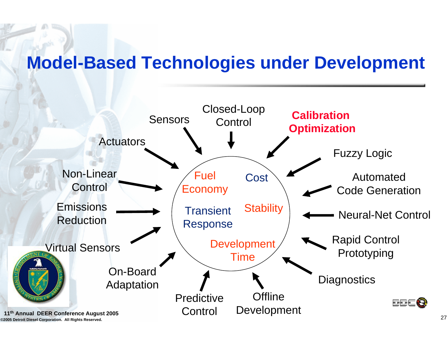### **Model-Based Technologies under Development**

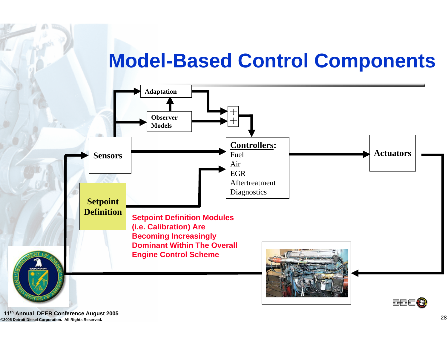## **Model-Based Control Components**



**©2005 Detroit Diesel Corporation. All Rights Reserved.** <sup>28</sup> **11th Annual DEER Conference August 2005**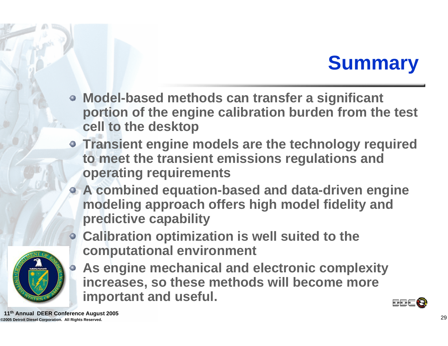## **Summary**

- **Model-based methods can transfer a significant portion of the engine calibration burden from the test cell to the desktop**
- **Transient engine models are the technology required to meet the transient emissions regulations and operating requirements**
- **A combined equation-based and data-driven engine modeling approach offers high model fidelity and predictive capability**



- **Calibration optimization is well suited to the computational environment**
	- **As engine mechanical and electronic complexity increases, so these methods will become more important and useful.**



**©2005 Detroit Diesel Corporation. All Rights Reserved.** <sup>29</sup> **11th Annual DEER Conference August 2005**